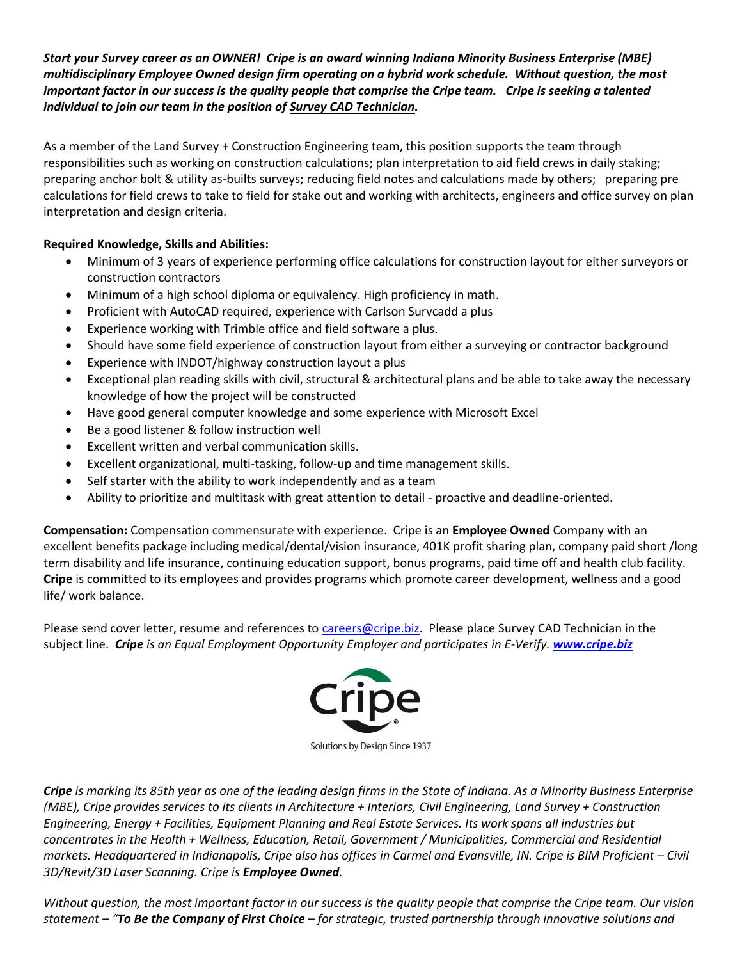## *Start your Survey career as an OWNER! Cripe is an award winning Indiana Minority Business Enterprise (MBE) multidisciplinary Employee Owned design firm operating on a hybrid work schedule. Without question, the most important factor in our success is the quality people that comprise the Cripe team. Cripe is seeking a talented individual to join our team in the position of Survey CAD Technician.*

As a member of the Land Survey + Construction Engineering team, this position supports the team through responsibilities such as working on construction calculations; plan interpretation to aid field crews in daily staking; preparing anchor bolt & utility as-builts surveys; reducing field notes and calculations made by others; preparing pre calculations for field crews to take to field for stake out and working with architects, engineers and office survey on plan interpretation and design criteria.

## **Required Knowledge, Skills and Abilities:**

- Minimum of 3 years of experience performing office calculations for construction layout for either surveyors or construction contractors
- Minimum of a high school diploma or equivalency. High proficiency in math.
- Proficient with AutoCAD required, experience with Carlson Survcadd a plus
- Experience working with Trimble office and field software a plus.
- Should have some field experience of construction layout from either a surveying or contractor background
- Experience with INDOT/highway construction layout a plus
- Exceptional plan reading skills with civil, structural & architectural plans and be able to take away the necessary knowledge of how the project will be constructed
- Have good general computer knowledge and some experience with Microsoft Excel
- Be a good listener & follow instruction well
- Excellent written and verbal communication skills.
- Excellent organizational, multi-tasking, follow-up and time management skills.
- Self starter with the ability to work independently and as a team
- Ability to prioritize and multitask with great attention to detail proactive and deadline-oriented.

**Compensation:** Compensation commensurate with experience. Cripe is an **Employee Owned** Company with an excellent benefits package including medical/dental/vision insurance, 401K profit sharing plan, company paid short /long term disability and life insurance, continuing education support, bonus programs, paid time off and health club facility. **Cripe** is committed to its employees and provides programs which promote career development, wellness and a good life/ work balance.

Please send cover letter, resume and references t[o careers@cripe.biz.](mailto:careers@cripe.biz) Please place Survey CAD Technician in the subject line. *Cripe is an Equal Employment Opportunity Employer and participates in E-Verify. [www.cripe.biz](http://www.cripe.biz/)*



Solutions by Design Since 1937

*Cripe is marking its 85th year as one of the leading design firms in the State of Indiana. As a Minority Business Enterprise (MBE), Cripe provides services to its clients in Architecture + Interiors, Civil Engineering, Land Survey + Construction Engineering, Energy + Facilities, Equipment Planning and Real Estate Services. Its work spans all industries but concentrates in the Health + Wellness, Education, Retail, Government / Municipalities, Commercial and Residential markets. Headquartered in Indianapolis, Cripe also has offices in Carmel and Evansville, IN. Cripe is BIM Proficient – Civil 3D/Revit/3D Laser Scanning. Cripe is Employee Owned.*

*Without question, the most important factor in our success is the quality people that comprise the Cripe team. Our vision statement – "To Be the Company of First Choice – for strategic, trusted partnership through innovative solutions and*